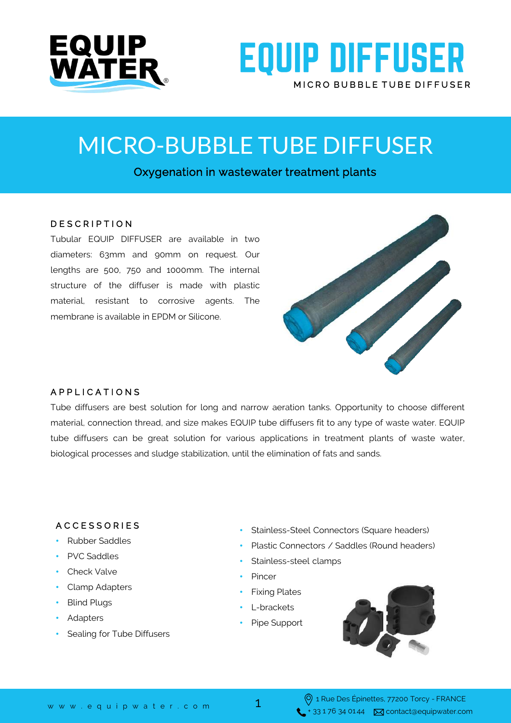



## MICRO-BUBBLE TUBE DIFFUSER

Oxygenation in wastewater treatment plants

#### D E S C R I P T I O N

Tubular EQUIP DIFFUSER are available in two diameters: 63mm and 90mm on request. Our lengths are 500, 750 and 1000mm. The internal structure of the diffuser is made with plastic material, resistant to corrosive agents. The membrane is available in EPDM or Silicone.



#### A P P L I C A T I O N S

Tube diffusers are best solution for long and narrow aeration tanks. Opportunity to choose different material, connection thread, and size makes EQUIP tube diffusers fit to any type of waste water. EQUIP tube diffusers can be great solution for various applications in treatment plants of waste water, biological processes and sludge stabilization, until the elimination of fats and sands.

#### A C C E S S O R I E S

- Rubber Saddles
- PVC Saddles
- Check Valve
- Clamp Adapters
- **Blind Plugs**
- Adapters
- Sealing for Tube Diffusers
- Stainless-Steel Connectors (Square headers)
- Plastic Connectors / Saddles (Round headers)
- Stainless-steel clamps
- **Pincer**
- Fixing Plates
- L-brackets
- Pipe Support